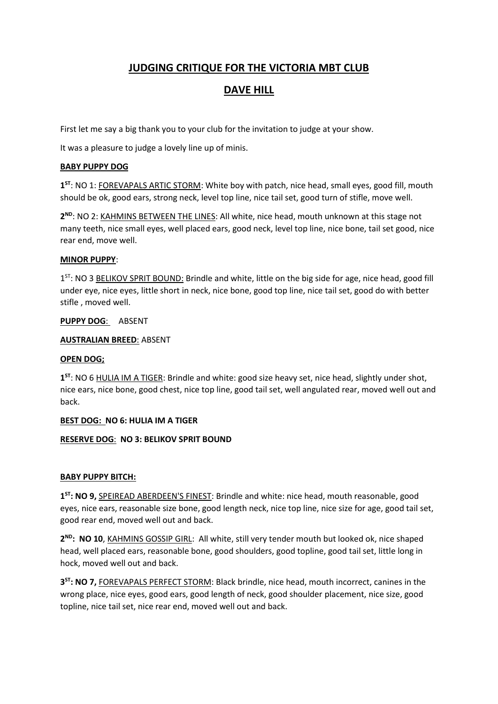# **JUDGING CRITIQUE FOR THE VICTORIA MBT CLUB**

# **DAVE HILL**

First let me say a big thank you to your club for the invitation to judge at your show.

It was a pleasure to judge a lovely line up of minis.

### **BABY PUPPY DOG**

**1 ST**: NO 1: FOREVAPALS ARTIC STORM: White boy with patch, nice head, small eyes, good fill, mouth should be ok, good ears, strong neck, level top line, nice tail set, good turn of stifle, move well.

**2 ND**: NO 2: KAHMINS BETWEEN THE LINES: All white, nice head, mouth unknown at this stage not many teeth, nice small eyes, well placed ears, good neck, level top line, nice bone, tail set good, nice rear end, move well.

#### **MINOR PUPPY**:

1<sup>ST</sup>: NO 3 BELIKOV SPRIT BOUND: Brindle and white, little on the big side for age, nice head, good fill under eye, nice eyes, little short in neck, nice bone, good top line, nice tail set, good do with better stifle , moved well.

## **PUPPY DOG**: ABSENT

## **AUSTRALIAN BREED**: ABSENT

#### **OPEN DOG;**

**1 ST**: NO 6 HULIA IM A TIGER: Brindle and white: good size heavy set, nice head, slightly under shot, nice ears, nice bone, good chest, nice top line, good tail set, well angulated rear, moved well out and back.

#### **BEST DOG: NO 6: HULIA IM A TIGER**

# **RESERVE DOG**: **NO 3: BELIKOV SPRIT BOUND**

# **BABY PUPPY BITCH:**

**1 ST: NO 9,** SPEIREAD ABERDEEN'S FINEST: Brindle and white: nice head, mouth reasonable, good eyes, nice ears, reasonable size bone, good length neck, nice top line, nice size for age, good tail set, good rear end, moved well out and back.

**2 ND: NO 10**, KAHMINS GOSSIP GIRL: All white, still very tender mouth but looked ok, nice shaped head, well placed ears, reasonable bone, good shoulders, good topline, good tail set, little long in hock, moved well out and back.

**3 ST: NO 7,** FOREVAPALS PERFECT STORM: Black brindle, nice head, mouth incorrect, canines in the wrong place, nice eyes, good ears, good length of neck, good shoulder placement, nice size, good topline, nice tail set, nice rear end, moved well out and back.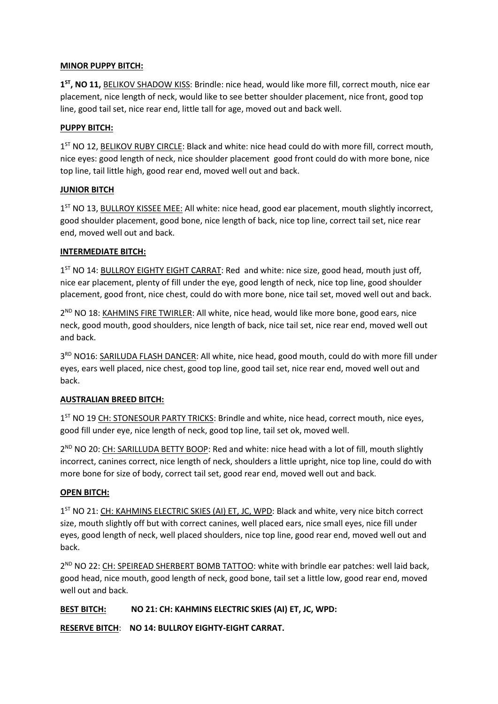## **MINOR PUPPY BITCH:**

**1 ST, NO 11,** BELIKOV SHADOW KISS: Brindle: nice head, would like more fill, correct mouth, nice ear placement, nice length of neck, would like to see better shoulder placement, nice front, good top line, good tail set, nice rear end, little tall for age, moved out and back well.

### **PUPPY BITCH:**

1<sup>ST</sup> NO 12, BELIKOV RUBY CIRCLE: Black and white: nice head could do with more fill, correct mouth, nice eyes: good length of neck, nice shoulder placement good front could do with more bone, nice top line, tail little high, good rear end, moved well out and back.

## **JUNIOR BITCH**

1<sup>ST</sup> NO 13, BULLROY KISSEE MEE: All white: nice head, good ear placement, mouth slightly incorrect, good shoulder placement, good bone, nice length of back, nice top line, correct tail set, nice rear end, moved well out and back.

## **INTERMEDIATE BITCH:**

1<sup>ST</sup> NO 14: BULLROY EIGHTY EIGHT CARRAT: Red and white: nice size, good head, mouth just off, nice ear placement, plenty of fill under the eye, good length of neck, nice top line, good shoulder placement, good front, nice chest, could do with more bone, nice tail set, moved well out and back.

2<sup>ND</sup> NO 18: KAHMINS FIRE TWIRLER: All white, nice head, would like more bone, good ears, nice neck, good mouth, good shoulders, nice length of back, nice tail set, nice rear end, moved well out and back.

3<sup>RD</sup> NO16: SARILUDA FLASH DANCER: All white, nice head, good mouth, could do with more fill under eyes, ears well placed, nice chest, good top line, good tail set, nice rear end, moved well out and back.

# **AUSTRALIAN BREED BITCH:**

1<sup>ST</sup> NO 19 CH: STONESOUR PARTY TRICKS: Brindle and white, nice head, correct mouth, nice eyes, good fill under eye, nice length of neck, good top line, tail set ok, moved well.

2<sup>ND</sup> NO 20: CH: SARILLUDA BETTY BOOP: Red and white: nice head with a lot of fill, mouth slightly incorrect, canines correct, nice length of neck, shoulders a little upright, nice top line, could do with more bone for size of body, correct tail set, good rear end, moved well out and back.

#### **OPEN BITCH:**

1<sup>ST</sup> NO 21: CH: KAHMINS ELECTRIC SKIES (AI) ET, JC, WPD: Black and white, very nice bitch correct size, mouth slightly off but with correct canines, well placed ears, nice small eyes, nice fill under eyes, good length of neck, well placed shoulders, nice top line, good rear end, moved well out and back.

2<sup>ND</sup> NO 22: CH: SPEIREAD SHERBERT BOMB TATTOO: white with brindle ear patches: well laid back, good head, nice mouth, good length of neck, good bone, tail set a little low, good rear end, moved well out and back.

# **BEST BITCH: NO 21: CH: KAHMINS ELECTRIC SKIES (AI) ET, JC, WPD:**

**RESERVE BITCH**: **NO 14: BULLROY EIGHTY-EIGHT CARRAT.**